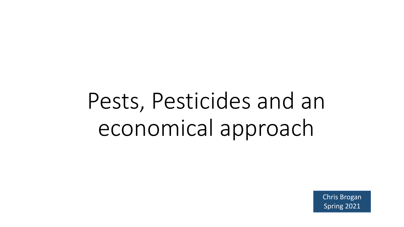# Pests, Pesticides and an economical approach

Chris Brogan Spring 2021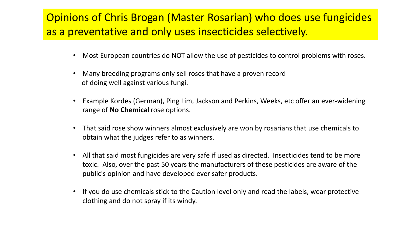# Opinions of Chris Brogan (Master Rosarian) who does use fungicides as a preventative and only uses insecticides selectively.

- Most European countries do NOT allow the use of pesticides to control problems with roses.
- Many breeding programs only sell roses that have a proven record of doing well against various fungi.
- Example Kordes (German), Ping Lim, Jackson and Perkins, Weeks, etc offer an ever-widening range of **No Chemical** rose options.
- That said rose show winners almost exclusively are won by rosarians that use chemicals to obtain what the judges refer to as winners.
- All that said most fungicides are very safe if used as directed. Insecticides tend to be more toxic. Also, over the past 50 years the manufacturers of these pesticides are aware of the public's opinion and have developed ever safer products.
- If you do use chemicals stick to the Caution level only and read the labels, wear protective clothing and do not spray if its windy.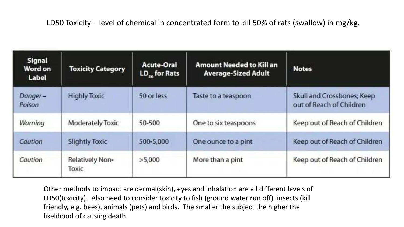#### LD50 Toxicity – level of chemical in concentrated form to kill 50% of rats (swallow) in mg/kg.

| Signal<br>Word on<br>Label | <b>Toxicity Category</b> | <b>Acute-Oral</b><br>LD <sub>co</sub> for Rats | <b>Amount Needed to Kill an</b><br><b>Average-Sized Adult</b> | <b>Notes</b>                                           |
|----------------------------|--------------------------|------------------------------------------------|---------------------------------------------------------------|--------------------------------------------------------|
| Danger-<br>Poison          | <b>Highly Toxic</b>      | 50 or less                                     | Taste to a teaspoon                                           | Skull and Crossbones; Keep<br>out of Reach of Children |
| Warning                    | Moderately Toxic         | 50-500                                         | One to six teaspoons                                          | Keep out of Reach of Children                          |
| Caution                    | <b>Slightly Toxic</b>    | 500-5,000                                      | One ounce to a pint                                           | Keep out of Reach of Children                          |
| Caution                    | Relatively Non-<br>Toxic | >5,000                                         | More than a pint                                              | Keep out of Reach of Children                          |

Other methods to impact are dermal(skin), eyes and inhalation are all different levels of LD50(toxicity). Also need to consider toxicity to fish (ground water run off), insects (kill friendly, e.g. bees), animals (pets) and birds. The smaller the subject the higher the likelihood of causing death.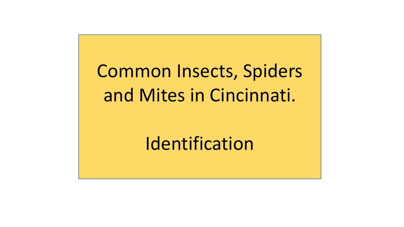Common Insects, Spiders and Mites in Cincinnati.

Identification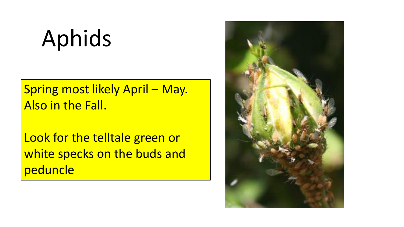# Aphids

Spring most likely April – May. Also in the Fall.

Look for the telltale green or white specks on the buds and peduncle

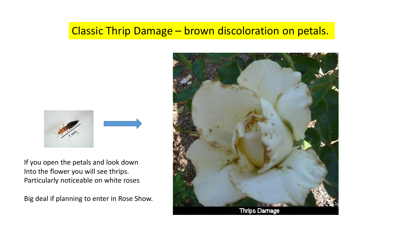#### Classic Thrip Damage – brown discoloration on petals.



If you open the petals and look down Into the flower you will see thrips. Particularly noticeable on white roses

Big deal if planning to enter in Rose Show.

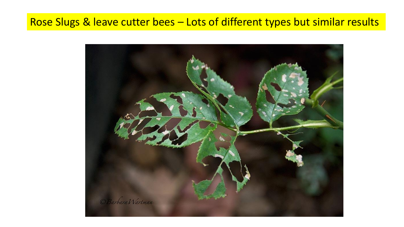#### Rose Slugs & leave cutter bees – Lots of different types but similar results

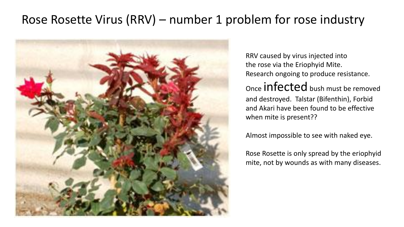# Rose Rosette Virus (RRV) – number 1 problem for rose industry



RRV caused by virus injected into the rose via the Eriophyid Mite. Research ongoing to produce resistance. Once infected bush must be removed and destroyed. Talstar (Bifenthin), Forbid and Akari have been found to be effective when mite is present??

Almost impossible to see with naked eye.

Rose Rosette is only spread by the eriophyid mite, not by wounds as with many diseases.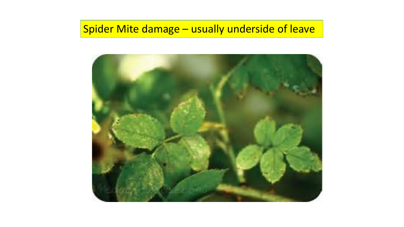# Spider Mite damage – usually underside of leave

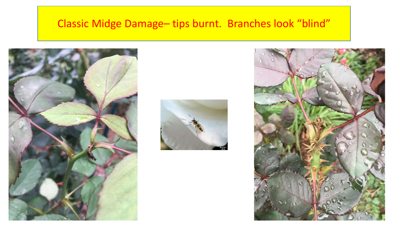### Classic Midge Damage– tips burnt. Branches look "blind"



![](_page_9_Picture_2.jpeg)

![](_page_9_Picture_3.jpeg)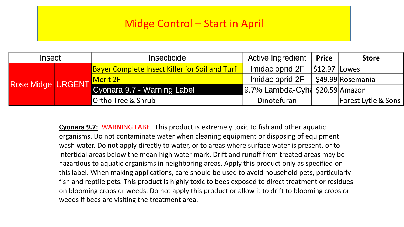#### Midge Control – Start in April

| <b>Insect</b>     |  | <b>Insecticide</b>                                    | Active Ingredient                               | <b>Price</b> | <b>Store</b>                   |
|-------------------|--|-------------------------------------------------------|-------------------------------------------------|--------------|--------------------------------|
| Rose Midge URGENT |  | <b>Bayer Complete Insect Killer for Soil and Turf</b> | Imidacloprid 2F                                 | $ $ \$12.97  | <b>Lowes</b>                   |
|                   |  | Imidacloprid 2F<br>Merit 2F                           |                                                 |              | S49.99 Rosemania               |
|                   |  | Cyonara 9.7 - Warning Label                           | $9.7\%$ Lambda-Cyh $\frac{1}{2}$ \$20.59 Amazon |              |                                |
|                   |  | Ortho Tree & Shrub                                    | Dinotefuran                                     |              | <b>Forest Lytle &amp; Sons</b> |

**Cyonara 9.7:** WARNING LABEL This product is extremely toxic to fish and other aquatic organisms. Do not contaminate water when cleaning equipment or disposing of equipment wash water. Do not apply directly to water, or to areas where surface water is present, or to intertidal areas below the mean high water mark. Drift and runoff from treated areas may be hazardous to aquatic organisms in neighboring areas. Apply this product only as specified on this label. When making applications, care should be used to avoid household pets, particularly fish and reptile pets. This product is highly toxic to bees exposed to direct treatment or residues on blooming crops or weeds. Do not apply this product or allow it to drift to blooming crops or weeds if bees are visiting the treatment area.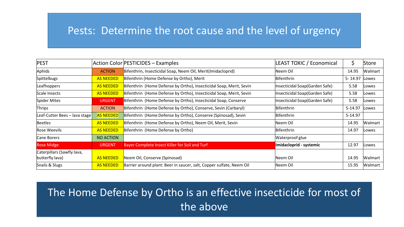#### Pests: Determine the root cause and the level of urgency

| <b>PEST</b>                                   |                  | Action Color PESTICIDES - Examples                                   | <b>LEAST TOXIC / Economical</b> | \$          | Store   |
|-----------------------------------------------|------------------|----------------------------------------------------------------------|---------------------------------|-------------|---------|
| Aphids                                        | <b>ACTION</b>    | Bifenthrin, Insecticidal Soap, Neem Oil, Merit(Imidacloprid)         | Neem Oil                        | 14.95       | Walmart |
| Spittelbugs                                   | <b>AS NEEDED</b> | Bifenthrin (Home Defense by Ortho), Merit                            | Bifenthrin                      | $5 - 14.97$ | Lowes   |
| Leafhoppers                                   | <b>AS NEEDED</b> | Bifenthrin (Home Defense by Ortho), Insecticidal Soap, Merit, Sevin  | Insecticidal Soap(Garden Safe)  | 5.58        | Lowes   |
| Scale Insects                                 | <b>AS NEEDED</b> | Bifenthrin (Home Defense by Ortho), Insecticidal Soap, Merit, Sevin  | Insecticidal Soap(Garden Safe)  | 5.58        | Lowes   |
| Spider Mites                                  | <b>URGENT</b>    | Bifenthrin (Home Defense by Ortho), Insecticidal Soap, Conserve      | Insecticidal Soap(Garden Safe)  | 5.58        | Lowes   |
| Thrips                                        | <b>ACTION</b>    | Bifenthrin (Home Defense by Ortho), Conserve, Sevin (Carbaryl)       | Bifenthrin                      | 5-14.97     | Lowes   |
| Leaf-Cutter Bees - lava stage                 | <b>AS NEEDED</b> | Bifenthrin (Home Defense by Ortho), Conserve (Spinosad), Sevin       | Bifenthrin                      | $5-14.97$   |         |
| Beetles                                       | <b>AS NEEDED</b> | Bifenthrin (Home Defense by Ortho), Neem Oil, Merit, Sevin           | Neem Oil                        | 14.95       | Walmart |
| <b>Rose Weevils</b>                           | <b>AS NEEDED</b> | Bifenthrin (Home Defense by Ortho)                                   | Bifenthrin                      | 14.97       | Lowes   |
| Cane Borers                                   | <b>NO ACTION</b> |                                                                      | Waterproof glue                 |             |         |
| <b>Rose Midge</b>                             | <b>URGENT</b>    | Bayer Complete Insect Killer for Soil and Turf                       | Imidacloprid - systemic         | 12.97       | Lowes   |
| Caterpillars (Sawfly lava,<br>butterfly lava) | <b>AS NEEDED</b> | Neem Oil, Conserve (Spinosad)                                        | lNeem Oil                       | 14.95       | Walmart |
| Snails & Slugs                                | <b>AS NEEDED</b> | Barrier around plant: Beer in saucer, salt, Copper sulfate, Neem Oil | Neem Oil                        | 15.95       | Walmart |

# The Home Defense by Ortho is an effective insecticide for most of the above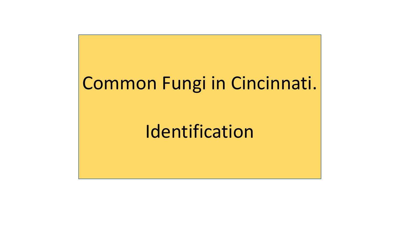# Common Fungi in Cincinnati.

# Identification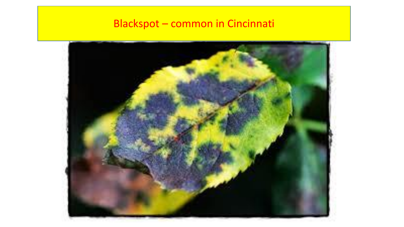# Blackspot – common in Cincinnati

![](_page_13_Picture_1.jpeg)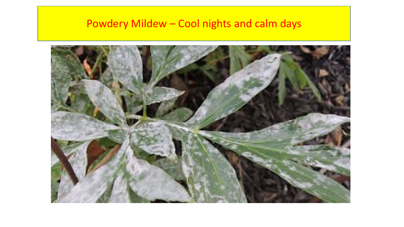## Powdery Mildew – Cool nights and calm days

![](_page_14_Picture_1.jpeg)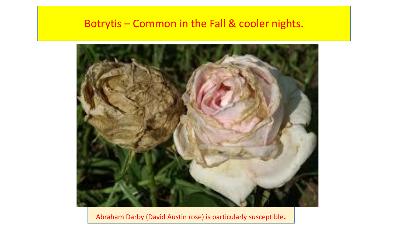#### Botrytis – Common in the Fall & cooler nights.

![](_page_15_Picture_1.jpeg)

Abraham Darby (David Austin rose) is particularly susceptible.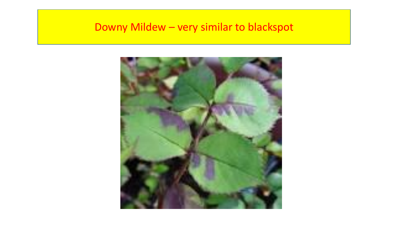## Downy Mildew – very similar to blackspot

![](_page_16_Picture_1.jpeg)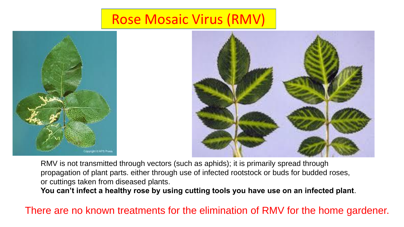# Rose Mosaic Virus (RMV)

![](_page_17_Picture_1.jpeg)

![](_page_17_Picture_2.jpeg)

RMV is not transmitted through vectors (such as aphids); it is primarily spread through propagation of plant parts. either through use of infected rootstock or buds for budded roses, or cuttings taken from diseased plants.

**You can't infect a healthy rose by using cutting tools you have use on an infected plant**.

There are no known treatments for the elimination of RMV for the home gardener.